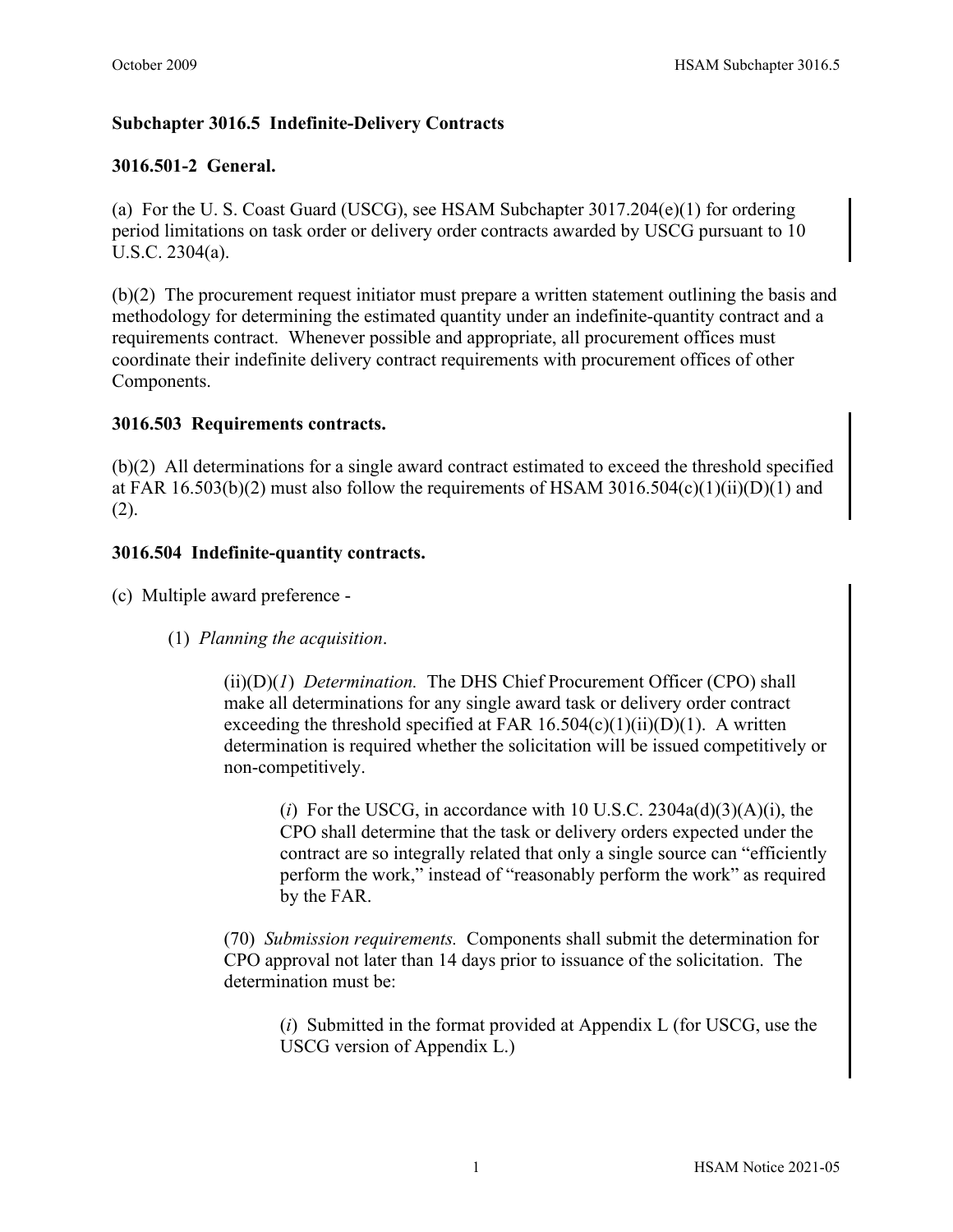# **Subchapter 3016.5 Indefinite-Delivery Contracts**

## **3016.501-2 General.**

(a) For the U. S. Coast Guard (USCG), see HSAM Subchapter 3017.204(e)(1) for ordering period limitations on task order or delivery order contracts awarded by USCG pursuant to 10 U.S.C. 2304(a).

(b)(2) The procurement request initiator must prepare a written statement outlining the basis and methodology for determining the estimated quantity under an indefinite-quantity contract and a requirements contract. Whenever possible and appropriate, all procurement offices must coordinate their indefinite delivery contract requirements with procurement offices of other Components.

### **3016.503 Requirements contracts.**

(b)(2) All determinations for a single award contract estimated to exceed the threshold specified at FAR  $16.503(b)(2)$  must also follow the requirements of HSAM 3016.504(c)(1)(ii)(D)(1) and  $(2).$ 

### **3016.504 Indefinite-quantity contracts.**

(c) Multiple award preference -

(1) *Planning the acquisition*.

(ii)(D)(*1*) *Determination.* The DHS Chief Procurement Officer (CPO) shall make all determinations for any single award task or delivery order contract exceeding the threshold specified at FAR  $16.504(c)(1)(ii)(D)(1)$ . A written determination is required whether the solicitation will be issued competitively or non-competitively.

(*i*) For the USCG, in accordance with 10 U.S.C.  $2304a(d)(3)(A)(i)$ , the CPO shall determine that the task or delivery orders expected under the contract are so integrally related that only a single source can "efficiently perform the work," instead of "reasonably perform the work" as required by the FAR.

(70) *Submission requirements.* Components shall submit the determination for CPO approval not later than 14 days prior to issuance of the solicitation. The determination must be:

(*i*) Submitted in the format provided at Appendix L (for USCG, use the USCG version of Appendix L.)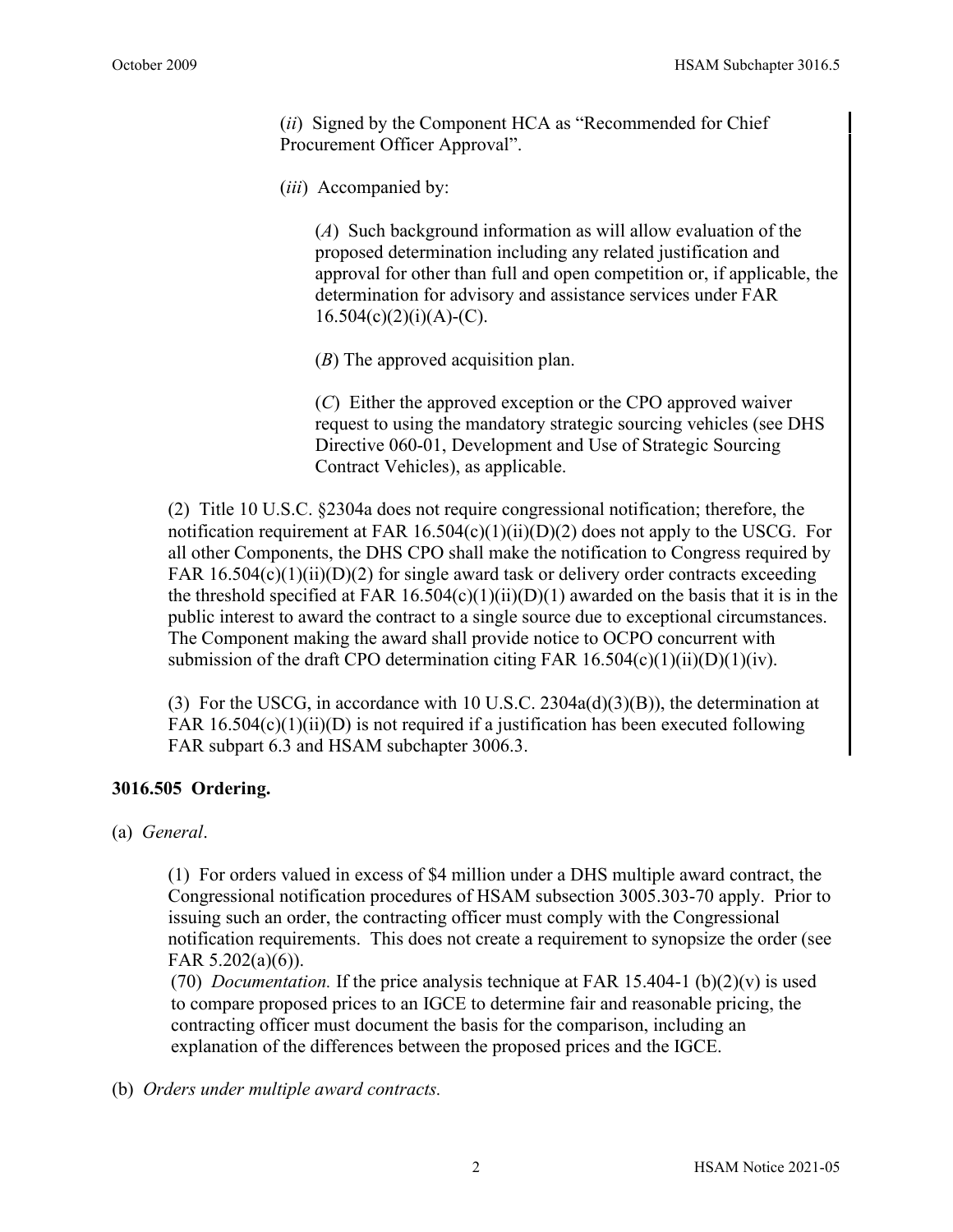(*ii*) Signed by the Component HCA as "Recommended for Chief Procurement Officer Approval".

(*iii*) Accompanied by:

(*A*) Such background information as will allow evaluation of the proposed determination including any related justification and approval for other than full and open competition or, if applicable, the determination for advisory and assistance services under FAR  $16.504(c)(2)(i)(A)-(C)$ .

(*B*) The approved acquisition plan.

(*C*) Either the approved exception or the CPO approved waiver request to using the mandatory strategic sourcing vehicles (see DHS Directive 060-01, Development and Use of Strategic Sourcing Contract Vehicles), as applicable.

(2) Title 10 U.S.C. §2304a does not require congressional notification; therefore, the notification requirement at FAR  $16.504(c)(1)(ii)(D)(2)$  does not apply to the USCG. For all other Components, the DHS CPO shall make the notification to Congress required by FAR  $16.504(c)(1)(ii)(D)(2)$  for single award task or delivery order contracts exceeding the threshold specified at FAR  $16.504(c)(1)(ii)(D)(1)$  awarded on the basis that it is in the public interest to award the contract to a single source due to exceptional circumstances. The Component making the award shall provide notice to OCPO concurrent with submission of the draft CPO determination citing FAR  $16.504(c)(1)(ii)(D)(1)(iv)$ .

(3) For the USCG, in accordance with 10 U.S.C.  $2304a(d)(3)(B)$ , the determination at FAR  $16.504(c)(1)(ii)(D)$  is not required if a justification has been executed following FAR subpart 6.3 and HSAM subchapter 3006.3.

#### **3016.505 Ordering.**

(a) *General*.

(1) For orders valued in excess of \$4 million under a DHS multiple award contract, the Congressional notification procedures of HSAM subsection 3005.303-70 apply. Prior to issuing such an order, the contracting officer must comply with the Congressional notification requirements. This does not create a requirement to synopsize the order (see FAR 5.202(a)(6)).

(70) *Documentation*. If the price analysis technique at FAR 15.404-1 (b)(2)(v) is used to compare proposed prices to an IGCE to determine fair and reasonable pricing, the contracting officer must document the basis for the comparison, including an explanation of the differences between the proposed prices and the IGCE.

(b) *Orders under multiple award contracts.*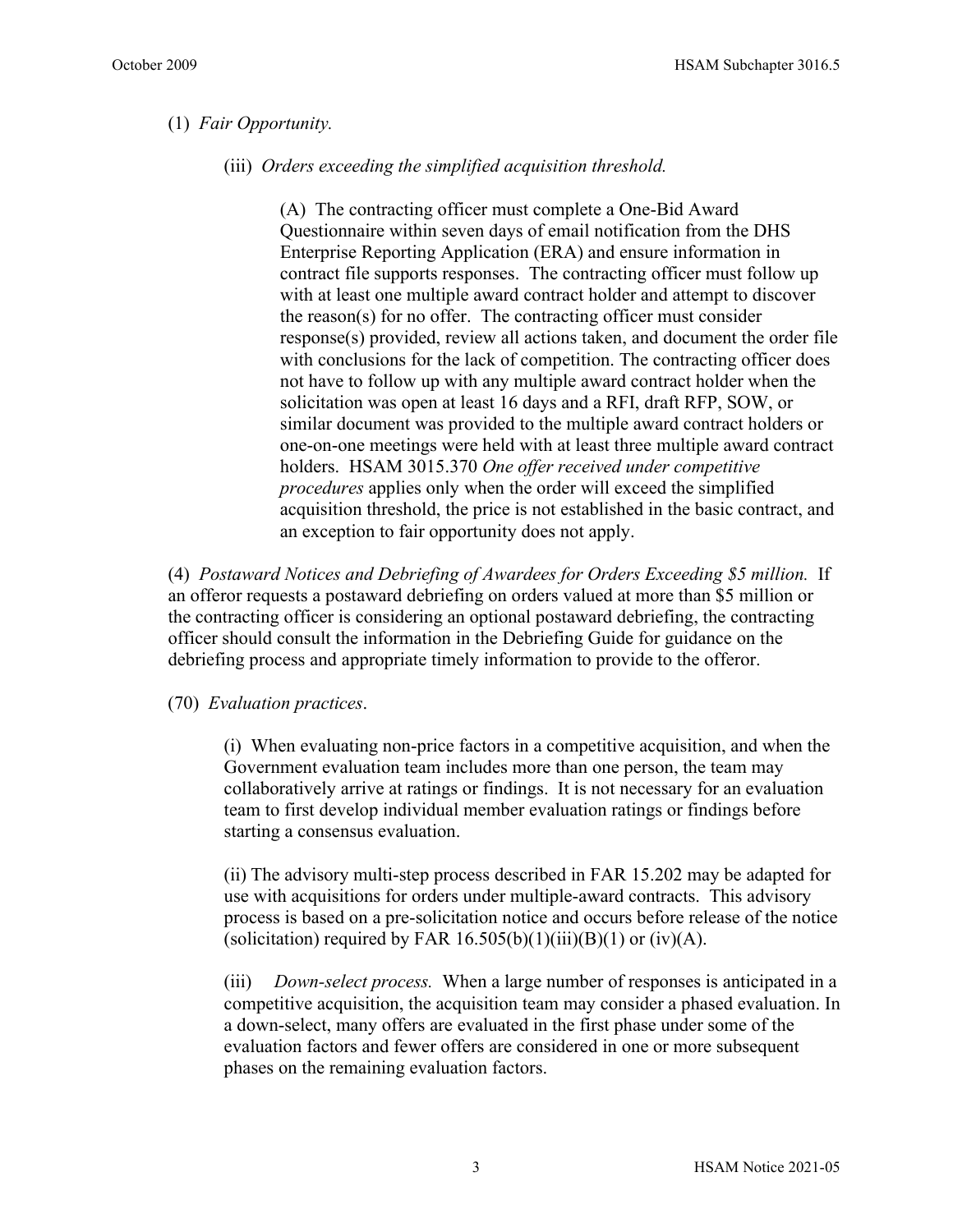#### (1) *Fair Opportunity.*

(iii) *Orders exceeding the simplified acquisition threshold.*

(A) The contracting officer must complete a One-Bid Award Questionnaire within seven days of email notification from the DHS Enterprise Reporting Application (ERA) and ensure information in contract file supports responses. The contracting officer must follow up with at least one multiple award contract holder and attempt to discover the reason(s) for no offer. The contracting officer must consider response(s) provided, review all actions taken, and document the order file with conclusions for the lack of competition. The contracting officer does not have to follow up with any multiple award contract holder when the solicitation was open at least 16 days and a RFI, draft RFP, SOW, or similar document was provided to the multiple award contract holders or one-on-one meetings were held with at least three multiple award contract holders. HSAM 3015.370 *One offer received under competitive procedures* applies only when the order will exceed the simplified acquisition threshold, the price is not established in the basic contract, and an exception to fair opportunity does not apply.

(4) *Postaward Notices and Debriefing of Awardees for Orders Exceeding \$5 million.* If an offeror requests a postaward debriefing on orders valued at more than \$5 million or the contracting officer is considering an optional postaward debriefing, the contracting officer should consult the information in the Debriefing Guide for guidance on the debriefing process and appropriate timely information to provide to the offeror.

(70) *Evaluation practices*.

(i) When evaluating non-price factors in a competitive acquisition, and when the Government evaluation team includes more than one person, the team may collaboratively arrive at ratings or findings. It is not necessary for an evaluation team to first develop individual member evaluation ratings or findings before starting a consensus evaluation.

(ii) The advisory multi-step process described in FAR 15.202 may be adapted for use with acquisitions for orders under multiple-award contracts. This advisory process is based on a pre-solicitation notice and occurs before release of the notice (solicitation) required by FAR  $16.505(b)(1)(iii)(B)(1)$  or (iv)(A).

(iii) *Down-select process.* When a large number of responses is anticipated in a competitive acquisition, the acquisition team may consider a phased evaluation. In a down-select, many offers are evaluated in the first phase under some of the evaluation factors and fewer offers are considered in one or more subsequent phases on the remaining evaluation factors.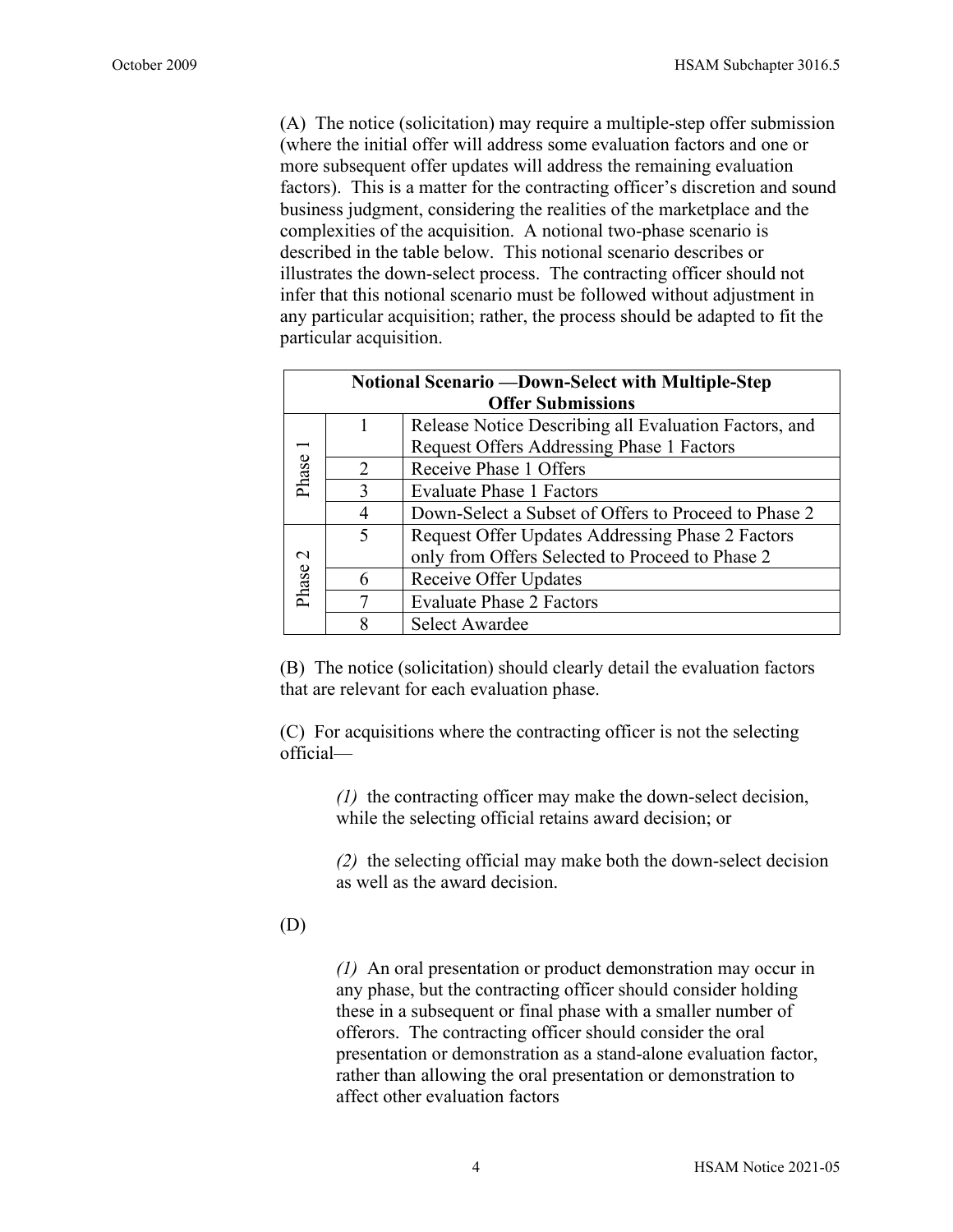(A) The notice (solicitation) may require a multiple-step offer submission (where the initial offer will address some evaluation factors and one or more subsequent offer updates will address the remaining evaluation factors). This is a matter for the contracting officer's discretion and sound business judgment, considering the realities of the marketplace and the complexities of the acquisition. A notional two-phase scenario is described in the table below. This notional scenario describes or illustrates the down-select process. The contracting officer should not infer that this notional scenario must be followed without adjustment in any particular acquisition; rather, the process should be adapted to fit the particular acquisition.

| Notional Scenario - Down-Select with Multiple-Step |                             |                                                       |
|----------------------------------------------------|-----------------------------|-------------------------------------------------------|
| <b>Offer Submissions</b>                           |                             |                                                       |
| Phase                                              |                             | Release Notice Describing all Evaluation Factors, and |
|                                                    |                             | Request Offers Addressing Phase 1 Factors             |
|                                                    | $\mathcal{D}_{\mathcal{L}}$ | Receive Phase 1 Offers                                |
|                                                    | $\mathbf{3}$                | <b>Evaluate Phase 1 Factors</b>                       |
|                                                    | 4                           | Down-Select a Subset of Offers to Proceed to Phase 2  |
| $\sim$<br>Phase                                    | $\overline{\mathcal{L}}$    | Request Offer Updates Addressing Phase 2 Factors      |
|                                                    |                             | only from Offers Selected to Proceed to Phase 2       |
|                                                    | 6                           | Receive Offer Updates                                 |
|                                                    | 7                           | <b>Evaluate Phase 2 Factors</b>                       |
|                                                    |                             | <b>Select Awardee</b>                                 |

(B) The notice (solicitation) should clearly detail the evaluation factors that are relevant for each evaluation phase.

(C) For acquisitions where the contracting officer is not the selecting official—

> *(1)* the contracting officer may make the down-select decision, while the selecting official retains award decision; or

*(2)* the selecting official may make both the down-select decision as well as the award decision.

(D)

*(1)* An oral presentation or product demonstration may occur in any phase, but the contracting officer should consider holding these in a subsequent or final phase with a smaller number of offerors. The contracting officer should consider the oral presentation or demonstration as a stand-alone evaluation factor, rather than allowing the oral presentation or demonstration to affect other evaluation factors